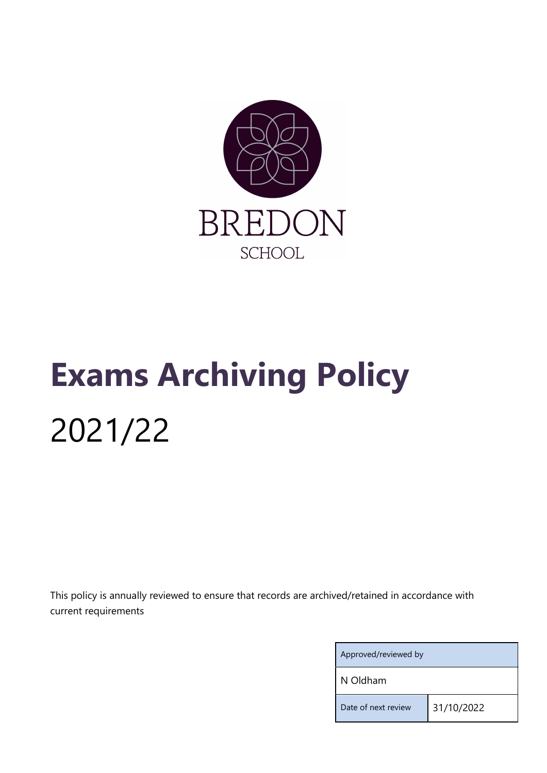

## Exams Archiving Policy 2021/22

This policy is annually reviewed to ensure that records are archived/retained in accordance with current requirements

| Approved/reviewed by |            |  |
|----------------------|------------|--|
| N Oldham             |            |  |
| Date of next review  | 31/10/2022 |  |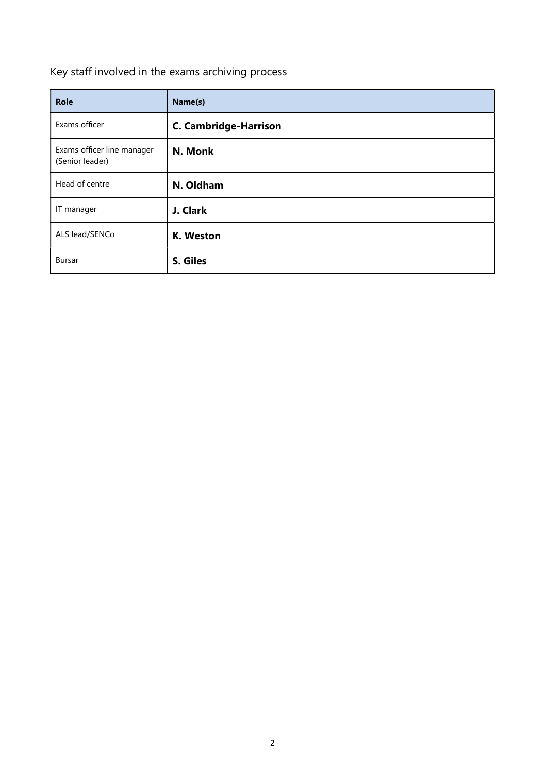## Key staff involved in the exams archiving process

| <b>Role</b>                                   | Name(s)                      |
|-----------------------------------------------|------------------------------|
| Exams officer                                 | <b>C. Cambridge-Harrison</b> |
| Exams officer line manager<br>(Senior leader) | N. Monk                      |
| Head of centre                                | N. Oldham                    |
| IT manager                                    | J. Clark                     |
| ALS lead/SENCo                                | K. Weston                    |
| <b>Bursar</b>                                 | S. Giles                     |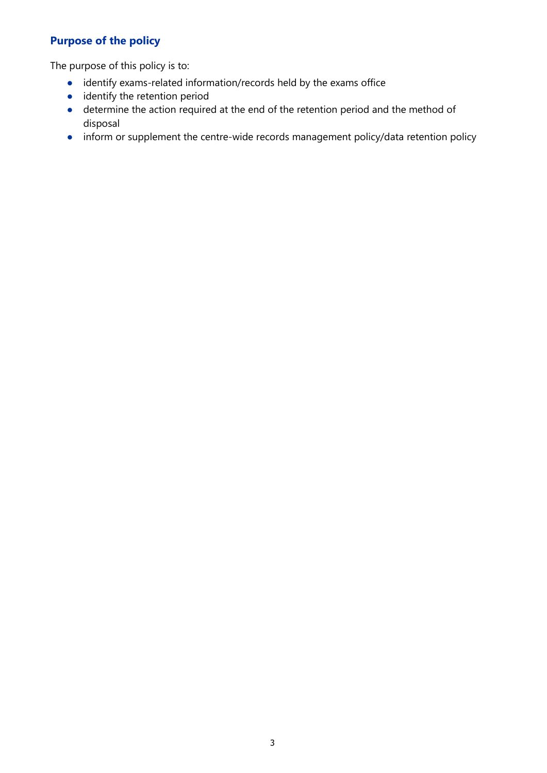## Purpose of the policy

The purpose of this policy is to:

- identify exams-related information/records held by the exams office
- identify the retention period
- determine the action required at the end of the retention period and the method of disposal
- inform or supplement the centre-wide records management policy/data retention policy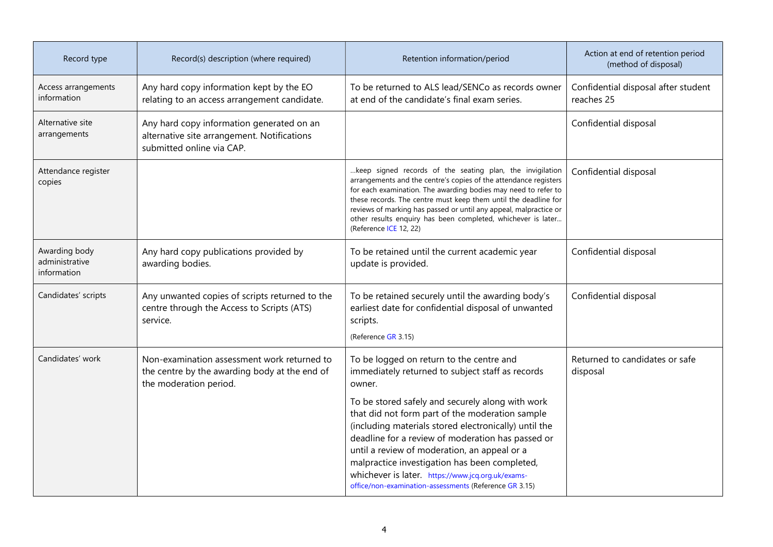| Record type                                    | Record(s) description (where required)                                                                                 | Retention information/period                                                                                                                                                                                                                                                                                                                                                                                                      | Action at end of retention period<br>(method of disposal) |
|------------------------------------------------|------------------------------------------------------------------------------------------------------------------------|-----------------------------------------------------------------------------------------------------------------------------------------------------------------------------------------------------------------------------------------------------------------------------------------------------------------------------------------------------------------------------------------------------------------------------------|-----------------------------------------------------------|
| Access arrangements<br>information             | Any hard copy information kept by the EO<br>relating to an access arrangement candidate.                               | To be returned to ALS lead/SENCo as records owner<br>at end of the candidate's final exam series.                                                                                                                                                                                                                                                                                                                                 | Confidential disposal after student<br>reaches 25         |
| Alternative site<br>arrangements               | Any hard copy information generated on an<br>alternative site arrangement. Notifications<br>submitted online via CAP.  |                                                                                                                                                                                                                                                                                                                                                                                                                                   | Confidential disposal                                     |
| Attendance register<br>copies                  |                                                                                                                        | keep signed records of the seating plan, the invigilation<br>arrangements and the centre's copies of the attendance registers<br>for each examination. The awarding bodies may need to refer to<br>these records. The centre must keep them until the deadline for<br>reviews of marking has passed or until any appeal, malpractice or<br>other results enquiry has been completed, whichever is later<br>(Reference ICE 12, 22) | Confidential disposal                                     |
| Awarding body<br>administrative<br>information | Any hard copy publications provided by<br>awarding bodies.                                                             | To be retained until the current academic year<br>update is provided.                                                                                                                                                                                                                                                                                                                                                             | Confidential disposal                                     |
| Candidates' scripts                            | Any unwanted copies of scripts returned to the<br>centre through the Access to Scripts (ATS)<br>service.               | To be retained securely until the awarding body's<br>earliest date for confidential disposal of unwanted<br>scripts.<br>(Reference GR 3.15)                                                                                                                                                                                                                                                                                       | Confidential disposal                                     |
| Candidates' work                               | Non-examination assessment work returned to<br>the centre by the awarding body at the end of<br>the moderation period. | To be logged on return to the centre and<br>immediately returned to subject staff as records<br>owner.                                                                                                                                                                                                                                                                                                                            | Returned to candidates or safe<br>disposal                |
|                                                |                                                                                                                        | To be stored safely and securely along with work<br>that did not form part of the moderation sample<br>(including materials stored electronically) until the<br>deadline for a review of moderation has passed or<br>until a review of moderation, an appeal or a<br>malpractice investigation has been completed,<br>whichever is later. https://www.jcq.org.uk/exams-<br>office/non-examination-assessments (Reference GR 3.15) |                                                           |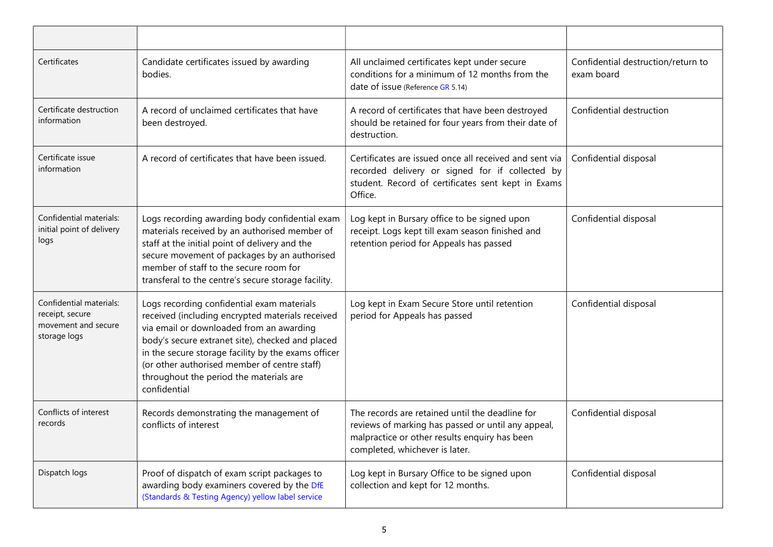| Certificates                                                                      | Candidate certificates issued by awarding<br>bodies.                                                                                                                                                                                                                                                                                                             | All unclaimed certificates kept under secure<br>conditions for a minimum of 12 months from the<br>date of issue (Reference GR 5.14)                                                      | Confidential destruction/return to<br>exam board |
|-----------------------------------------------------------------------------------|------------------------------------------------------------------------------------------------------------------------------------------------------------------------------------------------------------------------------------------------------------------------------------------------------------------------------------------------------------------|------------------------------------------------------------------------------------------------------------------------------------------------------------------------------------------|--------------------------------------------------|
| Certificate destruction<br>information                                            | A record of unclaimed certificates that have<br>been destroyed.                                                                                                                                                                                                                                                                                                  | A record of certificates that have been destroyed<br>should be retained for four years from their date of<br>destruction.                                                                | Confidential destruction                         |
| Certificate issue<br>information                                                  | A record of certificates that have been issued.                                                                                                                                                                                                                                                                                                                  | Certificates are issued once all received and sent via<br>recorded delivery or signed for if collected by<br>student. Record of certificates sent kept in Exams<br>Office.               | Confidential disposal                            |
| Confidential materials:<br>initial point of delivery<br>logs                      | Logs recording awarding body confidential exam<br>materials received by an authorised member of<br>staff at the initial point of delivery and the<br>secure movement of packages by an authorised<br>member of staff to the secure room for<br>transferal to the centre's secure storage facility.                                                               | Log kept in Bursary office to be signed upon<br>receipt. Logs kept till exam season finished and<br>retention period for Appeals has passed                                              | Confidential disposal                            |
| Confidential materials:<br>receipt, secure<br>movement and secure<br>storage logs | Logs recording confidential exam materials<br>received (including encrypted materials received<br>via email or downloaded from an awarding<br>body's secure extranet site), checked and placed<br>in the secure storage facility by the exams officer<br>(or other authorised member of centre staff)<br>throughout the period the materials are<br>confidential | Log kept in Exam Secure Store until retention<br>period for Appeals has passed                                                                                                           | Confidential disposal                            |
| Conflicts of interest<br>records                                                  | Records demonstrating the management of<br>conflicts of interest                                                                                                                                                                                                                                                                                                 | The records are retained until the deadline for<br>reviews of marking has passed or until any appeal,<br>malpractice or other results enquiry has been<br>completed, whichever is later. | Confidential disposal                            |
| Dispatch logs                                                                     | Proof of dispatch of exam script packages to<br>awarding body examiners covered by the DfE<br>(Standards & Testing Agency) yellow label service                                                                                                                                                                                                                  | Log kept in Bursary Office to be signed upon<br>collection and kept for 12 months.                                                                                                       | Confidential disposal                            |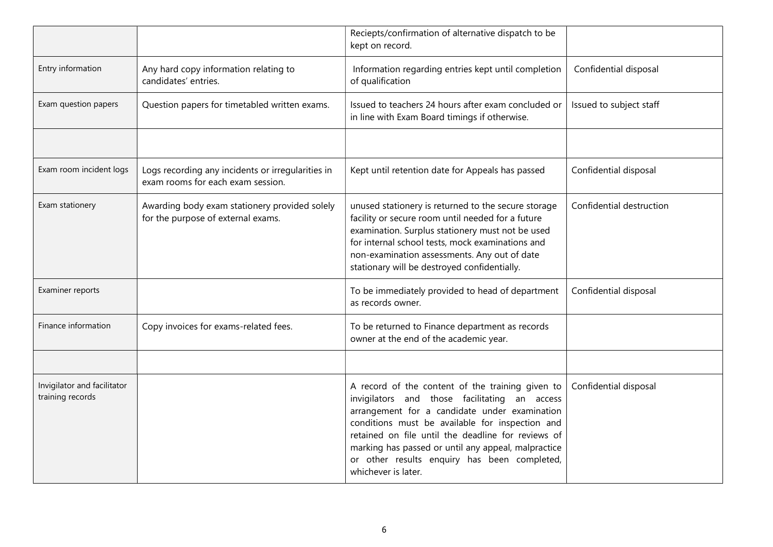|                                                 |                                                                                        | Reciepts/confirmation of alternative dispatch to be<br>kept on record.                                                                                                                                                                                                                                                                                                                    |                          |
|-------------------------------------------------|----------------------------------------------------------------------------------------|-------------------------------------------------------------------------------------------------------------------------------------------------------------------------------------------------------------------------------------------------------------------------------------------------------------------------------------------------------------------------------------------|--------------------------|
| Entry information                               | Any hard copy information relating to<br>candidates' entries.                          | Information regarding entries kept until completion<br>of qualification                                                                                                                                                                                                                                                                                                                   | Confidential disposal    |
| Exam question papers                            | Question papers for timetabled written exams.                                          | Issued to teachers 24 hours after exam concluded or<br>in line with Exam Board timings if otherwise.                                                                                                                                                                                                                                                                                      | Issued to subject staff  |
|                                                 |                                                                                        |                                                                                                                                                                                                                                                                                                                                                                                           |                          |
| Exam room incident logs                         | Logs recording any incidents or irregularities in<br>exam rooms for each exam session. | Kept until retention date for Appeals has passed                                                                                                                                                                                                                                                                                                                                          | Confidential disposal    |
| Exam stationery                                 | Awarding body exam stationery provided solely<br>for the purpose of external exams.    | unused stationery is returned to the secure storage<br>facility or secure room until needed for a future<br>examination. Surplus stationery must not be used<br>for internal school tests, mock examinations and<br>non-examination assessments. Any out of date<br>stationary will be destroyed confidentially.                                                                          | Confidential destruction |
| Examiner reports                                |                                                                                        | To be immediately provided to head of department<br>as records owner.                                                                                                                                                                                                                                                                                                                     | Confidential disposal    |
| Finance information                             | Copy invoices for exams-related fees.                                                  | To be returned to Finance department as records<br>owner at the end of the academic year.                                                                                                                                                                                                                                                                                                 |                          |
|                                                 |                                                                                        |                                                                                                                                                                                                                                                                                                                                                                                           |                          |
| Invigilator and facilitator<br>training records |                                                                                        | A record of the content of the training given to<br>invigilators and those facilitating an access<br>arrangement for a candidate under examination<br>conditions must be available for inspection and<br>retained on file until the deadline for reviews of<br>marking has passed or until any appeal, malpractice<br>or other results enquiry has been completed,<br>whichever is later. | Confidential disposal    |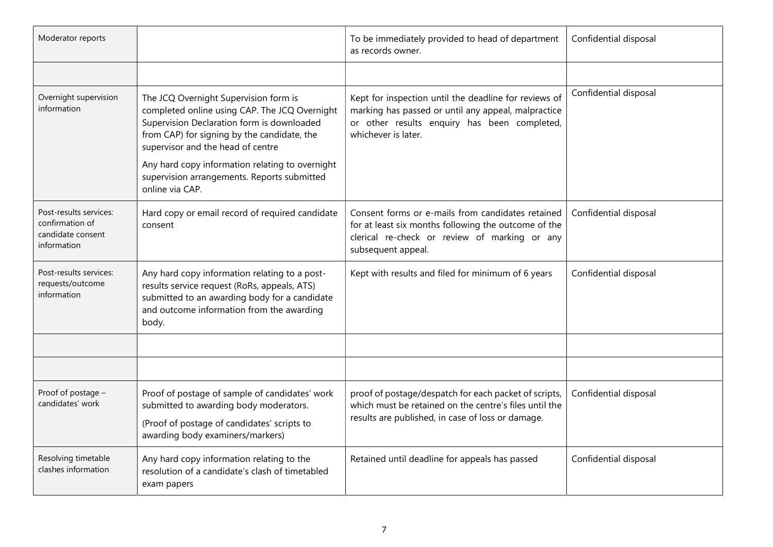| Moderator reports                                                             |                                                                                                                                                                                                                                                                                                                                               | To be immediately provided to head of department<br>as records owner.                                                                                                               | Confidential disposal |
|-------------------------------------------------------------------------------|-----------------------------------------------------------------------------------------------------------------------------------------------------------------------------------------------------------------------------------------------------------------------------------------------------------------------------------------------|-------------------------------------------------------------------------------------------------------------------------------------------------------------------------------------|-----------------------|
|                                                                               |                                                                                                                                                                                                                                                                                                                                               |                                                                                                                                                                                     |                       |
| Overnight supervision<br>information                                          | The JCQ Overnight Supervision form is<br>completed online using CAP. The JCQ Overnight<br>Supervision Declaration form is downloaded<br>from CAP) for signing by the candidate, the<br>supervisor and the head of centre<br>Any hard copy information relating to overnight<br>supervision arrangements. Reports submitted<br>online via CAP. | Kept for inspection until the deadline for reviews of<br>marking has passed or until any appeal, malpractice<br>or other results enquiry has been completed,<br>whichever is later. | Confidential disposal |
| Post-results services:<br>confirmation of<br>candidate consent<br>information | Hard copy or email record of required candidate<br>consent                                                                                                                                                                                                                                                                                    | Consent forms or e-mails from candidates retained<br>for at least six months following the outcome of the<br>clerical re-check or review of marking or any<br>subsequent appeal.    | Confidential disposal |
| Post-results services:<br>requests/outcome<br>information                     | Any hard copy information relating to a post-<br>results service request (RoRs, appeals, ATS)<br>submitted to an awarding body for a candidate<br>and outcome information from the awarding<br>body.                                                                                                                                          | Kept with results and filed for minimum of 6 years                                                                                                                                  | Confidential disposal |
|                                                                               |                                                                                                                                                                                                                                                                                                                                               |                                                                                                                                                                                     |                       |
|                                                                               |                                                                                                                                                                                                                                                                                                                                               |                                                                                                                                                                                     |                       |
| Proof of postage -<br>candidates' work                                        | Proof of postage of sample of candidates' work<br>submitted to awarding body moderators.<br>(Proof of postage of candidates' scripts to<br>awarding body examiners/markers)                                                                                                                                                                   | proof of postage/despatch for each packet of scripts,<br>which must be retained on the centre's files until the<br>results are published, in case of loss or damage.                | Confidential disposal |
| Resolving timetable<br>clashes information                                    | Any hard copy information relating to the<br>resolution of a candidate's clash of timetabled<br>exam papers                                                                                                                                                                                                                                   | Retained until deadline for appeals has passed                                                                                                                                      | Confidential disposal |